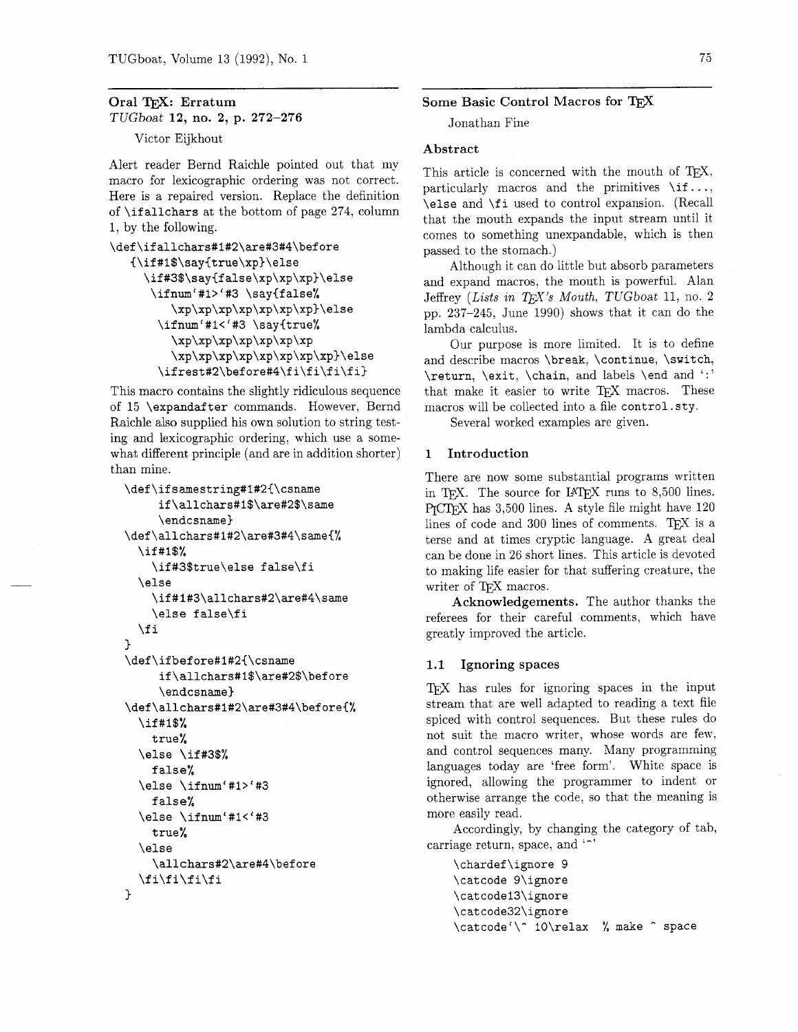# Oral TFX: Erratum TUGboat **12,** no. **2,** p. **272-276**

Victor Eijkhout

Alert reader Bernd Raichle pointed out that my macro for lexicographic ordering was not correct. Here is a repaired version. Replace the definition of  $\tilde{\text{ind}}$  at the bottom of page 274, column 1, by the following.

```
\def\ifallchars#1#2\are#3#4\before
   {\if#1$\say{true\xp}\else
     \if#3$\say{false\xp\xp\xp}\else
      \ifnum'#1>'#3 \say{false%
         \xp\xp\xp\xp\xp\xp\xp}\else
       \ifnum'#1<'#3 \say{true%
         \xp\xp\xp\xp\xp\xp\xp\\xp\xp\xp\xp\xp\xp\xp\xp}\else
       \ifrest#2\before#4\fi\fi\fi\fi}
```
This macro contains the slightly ridiculous sequence of 15 \expandafter commands. However, Bernd Raichle also supplied his own solution to string testing and lexicographic ordering, which use a somewhat different principle (and are in addition shorter) than mine.

```
\def\ifsamestring#1#2{\csname
     if\allchars#1$\are#2$\same
     \endcsname}
\def\allchars#1#2\are#3#4\same{%
  \if#1$%
    \if#3$true\else false\fi
  \else
    \if#1#3\allchars#2\are#4\same
    \else false\fi
  \fi
\mathbf{r}\def\ifbefore#1#2{\csname
     if\allchars#1$\are#2$\before
     \endcsname}
\def\allchars#1#2\are#3#4\before{%
  \if#1$%
    true%
  \else \if#3$%
    false%
  \else \ifnum'#1>'#3
    false%
  \else \ifnum'#1<'#3
    true%
  \else
    \allchars#2\are#4\before
  \tilde{i}\tilde{j}\mathbf{r}
```
## Some Basic Control Macros for TEX

Jonathan Fine

## Abstract

This article is concerned with the mouth of TEX, particularly macros and the primitives  $\iota$ if..., \else and \fi used to control expansion. (Recall that the mouth expands the input stream until it comes to something unexpandable, which is then passed to the stomach.)

Although it can do little but absorb parameters and expand macros, the mouth is powerful. Alan Jeffrey (Lists in TFX's Mouth, TUGboat 11, no. 2 pp. 237-245, June 1990) shows that it can do the lambda calculus.

Our purpose is more limited. It is to define and describe macros \break. \continue, \switch, \return, \exit, \chain, and labels \end and ':' that make it easier to write TFX macros. These macros will be collected into a file control. sty.

Several worked examples are given.

## 1 Introduction

There are now some substantial programs written in T<sub>F</sub>X. The source for IAT<sub>F</sub>X runs to  $8,500$  lines. has 3,500 lines. A style file might have 120 lines of code and 300 lines of comments. TEX is a terse and at times cryptic language. A great deal can be done in 26 short lines. This article is devoted to making life easier for that suffering creature, the writer of TFX macros.

Acknowledgements. The author thanks the referees for their careful comments, which have greatly improved the article.

#### **1.1** Ignoring spaces

TFX has rules for ignoring spaces in the input stream that are well adapted to reading a text file spiced with control sequences. But these rules do not suit the macro writer, whose words are few, and control sequences many. Many programming languages today are 'free form'. White space is ignored, allowing the programmer to indent or otherwise arrange the code, so that the meaning is more easily read.

Accordingly, by changing the category of tab, carriage return, space, and  $\lq\lq$ 

\chardef\ignore 9 \catcode 9\ignore \catcodei3\ignore \catcode32\ignore \catcode'\^ 10\relax % make ^ space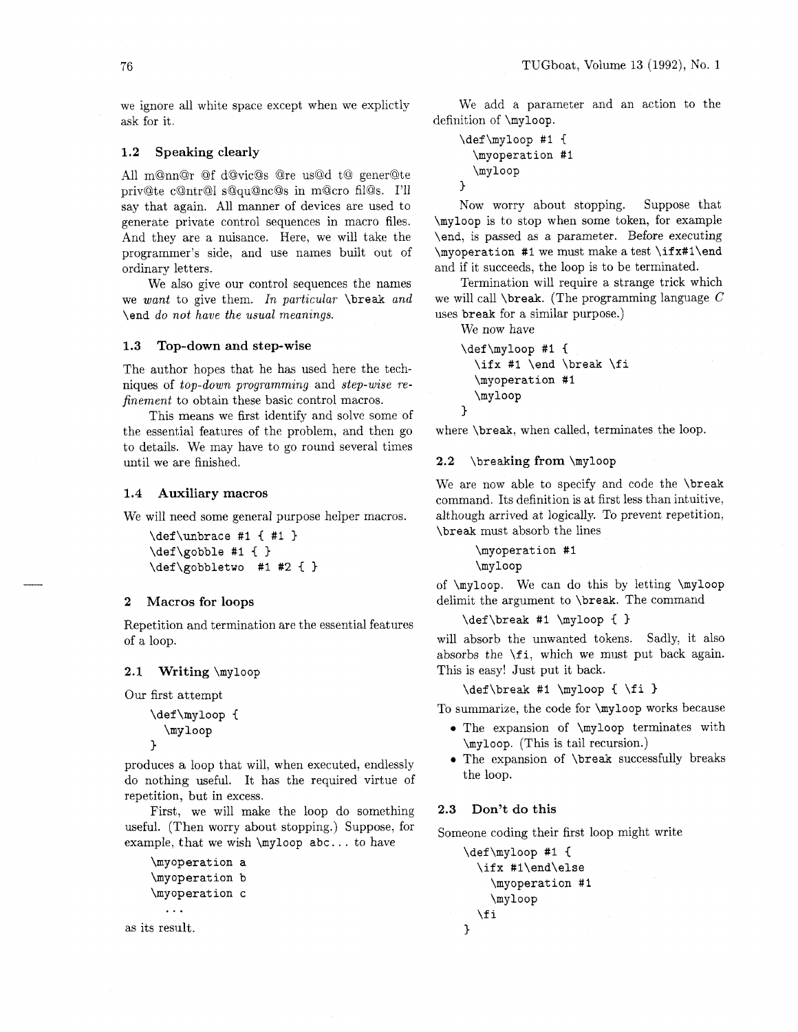we ignore all white space except when we explictly ask for it.

## **1.2** Speaking clearly

All m@nn@r @f d@vic@s @re us@d t@ gener@te priv@te c@ntr@l s@qu@nc@s in m@cro fil@s. I'll say that again. All manner of devices are used to generate private control sequences in macro files. And they are a nuisance. Here, we will take the programmer's side, and use names built out of ordinary letters.

We also give our control sequences the names we *want* to give them. *In particular* \break *and*  \end *do not have the usual meanings.* 

## **1.3** Top-down and step-wise

The author hopes that he has used here the techniques of *top-down programming* and *step-wise refinement* to obtain these basic control macros.

This means we first identify and solve some of the essential features of the problem, and then go to details. We may have to go round several times until we are finished.

#### Auxiliary macros  $1.4$

We will need some general purpose helper macros.

```
\def\unbrace #I { #1 ) 
\def\gobble #I C 
\def\gobbletwo #I #2 C )
```
#### $\overline{2}$ Macros for loops

Repetition and termination are the essential features of a loop.

#### 2.1 Writing \myloop

Our first attempt

```
\def\myloop {
   \myloop
\mathbf{r}
```
produces a loop that will, when executed, endlessly do nothing useful. It has the required virtue of repetition, but in excess.

First, we will make the loop do something useful. (Then worry about stopping.) Suppose, for example, that we wish  $\m{\mu}$  abc... to have

```
\myoperation a 
    \myoperat ion b 
    \myoperat ion c 
       \ddotscas its result.
```
We add a parameter and an action to the definition of \myloop.

```
\def\myloop #I { 
  \myoperation #I 
  \myloop 
}
```
Now worry about stopping. Suppose that \myloop is to stop when some token, for example \end, is passed as a parameter. Before executing \myoperation #I we must make a test \if x#l\end and if it succeeds, the loop is to be terminated.

Termination will require a strange trick which we will call  $\beta$ . (The programming language C uses break for a similar purpose.)

We now have

```
\def\myloop #1 {
  \ifx #1 \end \break \fi
  \myoperation #I 
  \myloop 
1
```
where \break, when called, terminates the loop.

#### **2.2** \breaking from \myloop

We are now able to specify and code the \break command. Its definition is at first less than intuitive, although arrived at logically. To prevent repetition, \break must absorb the lines

> \myoperat ion #I \myloop

of \myloop. We can do this by letting \myloop delimit the argument to \break. The command

#### \def\break #I \myloop **C** )

will absorb the unwanted tokens. Sadly, it also absorbs the \fi, which we must put back again. This is easy! Just put it back.

```
\def\break #I \myloop C \fi 3
```
To summarize, the code for \myloop works because

- **0** The expansion of \myloop terminates with \myloop. (This is tail recursion.)
- **<sup>0</sup>**The expansion of \break successfully breaks the loop.

## **2.3** Don't do this

Someone coding their first loop might write

```
\def\myloop #I C 
  \ifx #l\end\else 
     \myoperat ion #1 
     \myloop 
  \f i 
\mathcal{L}
```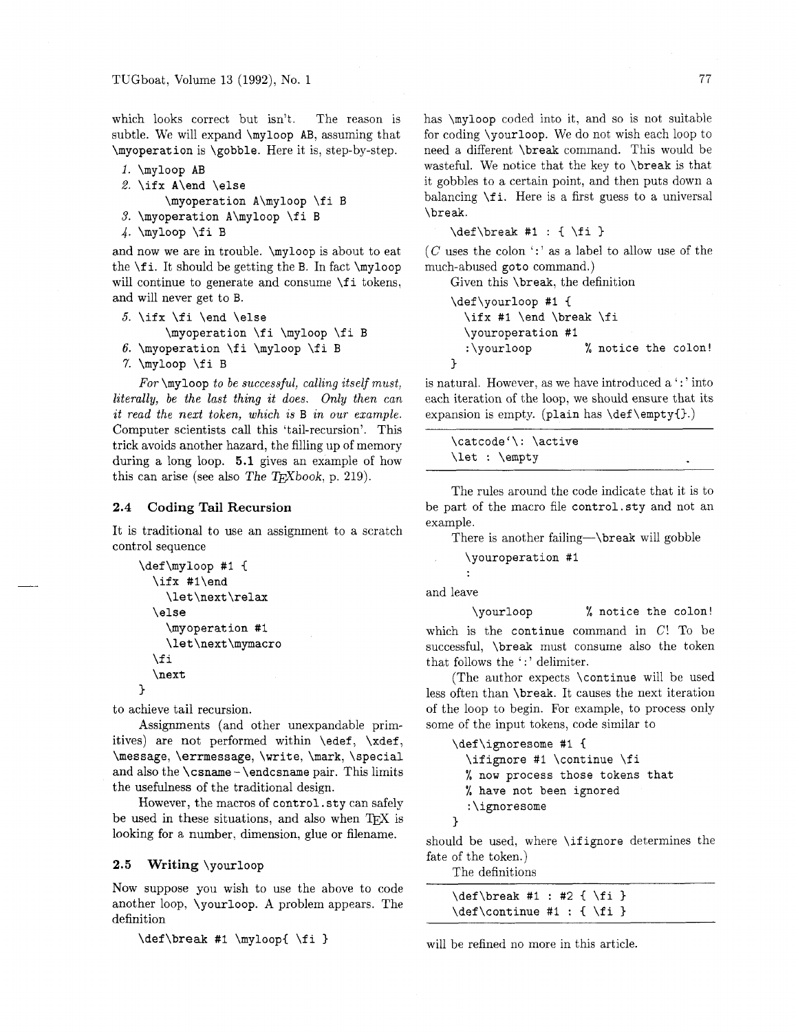which looks correct but isn't. The reason is subtle. We will expand **\myloop** AB, assuming that **\myoperation** is **\gobble.** Here it is, step-by-step.

```
1. \myloop AB 
2. \ifx A\end \else 
       \myoperation A\myloop \fi B
```
**3. \myoperation A\myloop \fi** B

```
4. \myloop \fi B
```
and now we are in trouble. **\myloop** is about to eat the \f **i.** It should be getting the B. In fact **\myloop**  will continue to generate and consume **\f i** tokens, and will never get to B.

```
5. \ifx \fi \end \else 
      \myoperation \fi \myloop \fi B
```

```
6. \myoperation \f i \myloop \fi B
```

```
7. \myloop \fi B
```
*For* **\myloop** *to be successful, calling itself must, literally, be the last thing it does. Only then can it read the next token,* **which** *is* B *in our example.*  Computer scientists call this 'tail-recursion'. This trick avoids another hazard, the filling up of memory during a long loop. 5.1 gives an example of how this can arise (see also The  $T_F X book$ , p. 219).

## **2.4 Coding Tail Recursion**

It is traditional to use an assignment to a scratch control sequence

```
\def\myloop #I C 
  \ifx #l\end 
    \let\next \relax 
  \else 
    \myoperat ion #I 
    \let \next \mymacro 
  \f i 
  \next 
3
```
to achieve tail recursion.

Assignments (and other unexpandable primitives) are not performed within **\edef, \xdef, \message, \errmessage, \write, \mark, \special**  and also the **\csname** - **\endcsname** pair. This limits the usefulness of the traditional design.

However, the macros of **control. sty** can safely be used in these situations, and also when TFX is looking for a number, dimension, glue or filename.

## **2.5 Writing \yourloop**

Now suppose you wish to use the above to code another loop, **\yourloop.** A problem appears. The definition

```
\def\break #1 \myloop{ \fi }
```
has **\myloop** coded into it, and so is not suitable for coding **\yourloop.** We do not wish each loop to need a different **\break** command. This would be wasteful. We notice that the key to **\break** is that it gobbles to a certain point, and then puts down a balancing **\f i.** Here is a first guess to a universal **\break.** 

**\def\break #I** : { **\fi** 3

 $(C$  uses the colon  $\lq\lq$  as a label to allow use of the much-abused **goto** command.)

Given this **\break,** the definition

```
\def\yourloop #1 {
  \ifx #I \end \break \fi 
  \youroperation #I 
  :\yourloop % notice the colon! 
3
```
is natural. However, as we have introduced a  $\cdot$ : ' into each iteration of the loop, we should ensure that its expansion is empty. **(plain** has **\def \emptyC3.)** 

| \catcode'\: \active |  |
|---------------------|--|
| $\let : \emptyset$  |  |
|                     |  |

The rules around the code indicate that it is to be part of the macro file **control. sty** and not an example.

There is another **failing-\break** will gobble

```
\youroperation #I
```
and leave

**\yourloop** % **notice the colon!**  which is the **continue** command in **C!** To be successful, **\break** must consume also the token that follows the ':' delimiter.

(The author expects **\continue** will be used less often than **\break.** It causes the next iteration of the loop to begin. For example, to process only some of the input tokens, code similar to

```
\def \ignoresome #I I 
  \ifignore #I \continue \fi 
  % now process those tokens that 
  % have not been ignored 
  :\ignoresome 
1
```
should be used, where **\ifignore** determines the fate of the token.)

The definitions

| $\def\break \#1 : #2 { \f_i }$  |  |  |
|---------------------------------|--|--|
| $\def\$ {unitine #1 : {\n1 : i} |  |  |

will be refined no more in this article.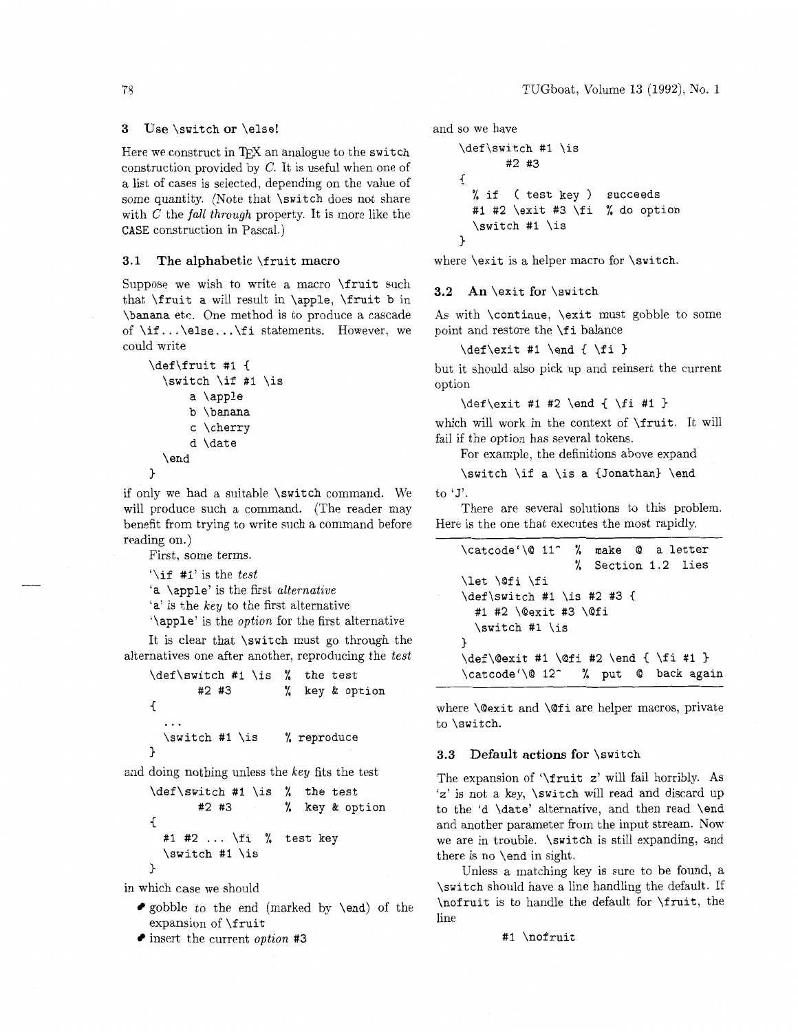## **3** Use \switch **or** \else!

Here we construct in  $T_{FX}$  an analogue to the switch construction provided by C. It is useful when one of a list of cases is selected, depending on the value of some quantity. (Note that \switch does not share with C the *fall through* property. It is more like the CASE construction in Pascal.)

## **3.1 The alphabetic** \fruit **macro**

Suppose we wish to write a macro \fruit such that \fruit a will result in \apple, \fruit b in \banana etc. One method is to produce a cascade of  $\if{..}$ else.. $\if{.}$  statements. However, we could write

```
\def\fruit #I { 
  \switch \if $1 \is 
      a \apple 
      b \banana 
      c \cherry 
      d \date 
  \end
```

```
>
```
if only we had a suitable \switch command. We will produce such a command. (The reader may benefit from trying to write such a command before reading on.)

 $\int \iint$  #1' is the *test* 

It is clear that \switch must go through the alternatives one after another, reproducing the *test* 

```
\def\switch #I \is % the test 
       #2 #3 % key & option 
\overline{f}... 
  \switch #I \is % reproduce 
1
```
and doing nothing unless the key fits the test

```
\def\switch #I \is % the test 
       #2 #3 % key & option 
C 
  #I #2 ... \fi % test key 
  \switch #1 \is 
\mathcal{E}
```
in which case we should

- $\bullet$  gobble to the end (marked by \end) of the expansion of \fruit
- insert the current *option* #3

```
and so we have
```

```
\def\switch #I \is 
        #2 #3 
\overline{f}% if ( test key ) succeeds
  #1 #2 \exit #3 \fi % do option 
  \switch #1 \is 
3
```
where \exit is a helper macro for \switch.

#### **3.2 An** \exit **for** \switch

As with \continue, \exit must gobble to some point and restore the \f i balance

\def\exit #1 \end { \fi }

but it should also pick up and reinsert the current option

 $\def\xi$  +1 #2 \end { \fi #1 }

which will work in the context of \fruit. It will fail if the option has several tokens.

For example, the definitions above expand

\switch \if a \is a {Jonathan) \end to 'J'.

There are several solutions to this problem. Here is the one that executes the most rapidly.

| 1g on.)<br>rirst, some terms.                                                                                                                                                       | \catcode'\@ 11^ % make @ a letter                                                                             |
|-------------------------------------------------------------------------------------------------------------------------------------------------------------------------------------|---------------------------------------------------------------------------------------------------------------|
| \if #1' is the <i>test</i><br>a $\alpha$ apple' is the first <i>alternative</i><br>a' is the key to the first alternative<br>\apple' is the <i>option</i> for the first alternative | % Section 1.2 lies<br>\let \@fi \fi<br>$\def\switeh #1 \is #2 #3 {$<br>#1 #2 \@exit #3 \@fi<br>\switch #1 \is |
| t is clear that \switch must go through the<br>natives one after another, reproducing the test<br>def\switch #1 \is % the test                                                      | \def\@exit #1 \@fi #2 \end { \fi #1 }<br>\catcode'\@ 12^ % put @ back again                                   |

where \@exit and \@fi are helper macros, private to \switch.

### **3.3 Default actions for** \switch

The expansion of '\fruit z' will fail horribly. As 'z' is not a key, \switch will read and discard up to the 'd \date' alternative, and then read \end and another parameter from the input stream. Now we are in trouble. \switch is still expanding, and there is no \end in sight.

Unless a matching key is sure to be found, a \switch should have a line handling the default. If \nofruit is to handle the default for \fruit, the line

#### #1 \nofruit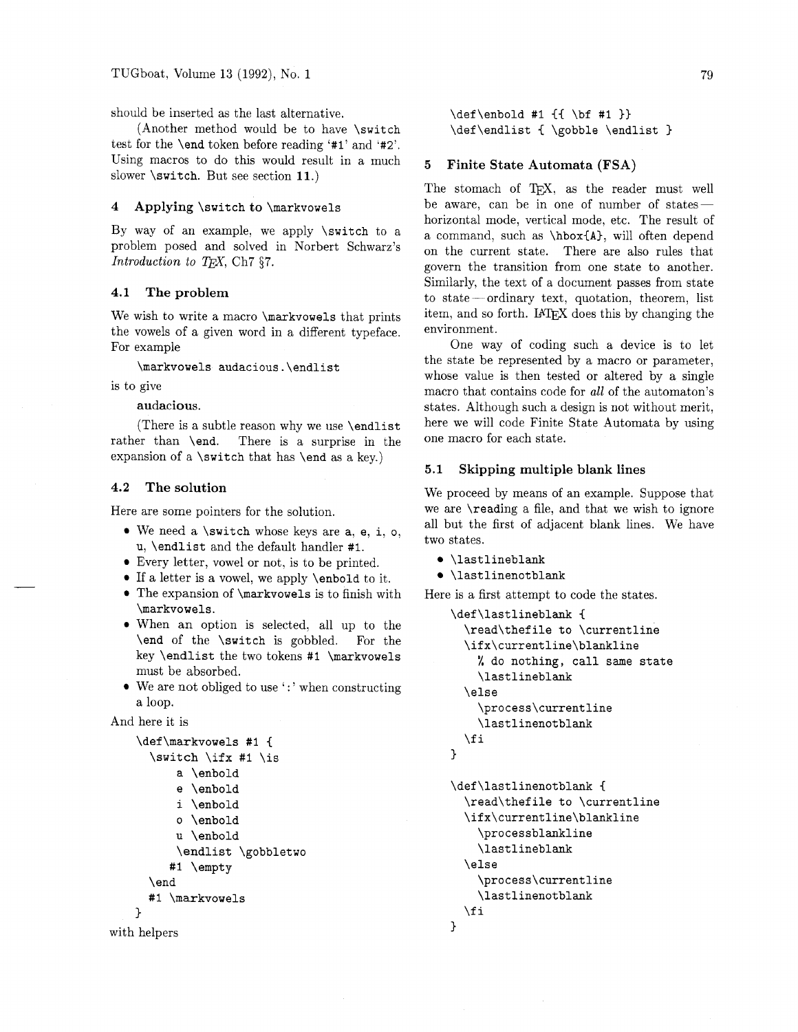should be inserted as the last alternative.

(Another method would be to have \switch test for the \end token before reading '#I' and **'#2'.**  Using macros to do this would result in a much slower \switch. But see section **11.)** 

## 4 Applying \switch to \markvowels

By way of an example, we apply \switch to a problem posed and solved in Norbert Schwarz's *Introduction to T<sub>F</sub>X*, Ch7 §7.

## 4.1 The problem

We wish to write a macro **\markvowels** that prints the vowels of a given word in a different typeface. For example

\markvowels audacious.\endlist

is to give

audacious.

(There is a subtle reason why we use \endlist rather than \end. There is a surprise in the expansion of a \switch that has \end as a key.)

## 4.2 The solution

Here are some pointers for the solution.

- $\bullet$  We need a \switch whose keys are a, e, i, o, u, \endlist and the default handler #I.
- Every letter, vowel or not, is to be printed.
- If a letter is a vowel, we apply \enbold to it.
- The expansion of \markvowels is to finish with \markvowels.
- When an option is selected, all up to the \end of the \switch is gobbled. For the key \endlist the two tokens #1 \markvowels must be absorbed.
- $\bullet$  We are not obliged to use  $\cdot$ : ' when constructing a loop.

And here it is

```
\def\markvowels #1 {
  \switch \ifx #1 \is
      a \enbold
      e \enbold
      i \enbold
      o \enbold
      u \enbold
      \endlist \gobbletwo
     #1 \empty
  \end
  #1 \markvowels
\mathcal{L}
```

```
with helpers
```
\def\enbold #1 {{ \bf #1 }} \def\endlist { \gobble \endlist }

#### 5 Finite State Automata (FSA)

The stomach of TpX, as the reader must well be aware, can be in one of number of stateshorizontal mode, vertical mode, etc. The result of a command, such as \hbox(A), will often depend on the current state. There are also rules that govern the transition from one state to another. Similarly, the text of a document passes from state to state  $-$  ordinary text, quotation, theorem, list item, and so forth. **IATFX** does this by changing the environment.

One way of coding such a device is to let the state be represented by a macro or parameter, whose value is then tested or altered by a single macro that contains code for *all* of the automaton's states. Although such a design is not without merit, here we will code Finite State Automata by using one macro for each state.

### 5.1 Skipping multiple blank lines

We proceed by means of an example. Suppose that we are \reading a file, and that we wish to ignore all but the first of adjacent blank lines. We have two states.

- \lastlineblank
- \lastlinenotblank

Here is a first attempt to code the states.

```
\def\lastlineblank ( 
  \read\thefile to \currentline 
  \ifx\currentline\blankline 
    % do nothing, call same state 
    \lastlineblank 
  \else 
    \process\currentline 
    \lastlinenotblank
  \sqrt{fi}} 
\def\lastlinenotblank C 
  \read\thef ile to \currentline 
  \ifx\currentline\blankline 
    \processblankline 
    \lastlineblank 
  \else 
    \process\currentline 
    \lastlinenotblank 
  \chifi
1
```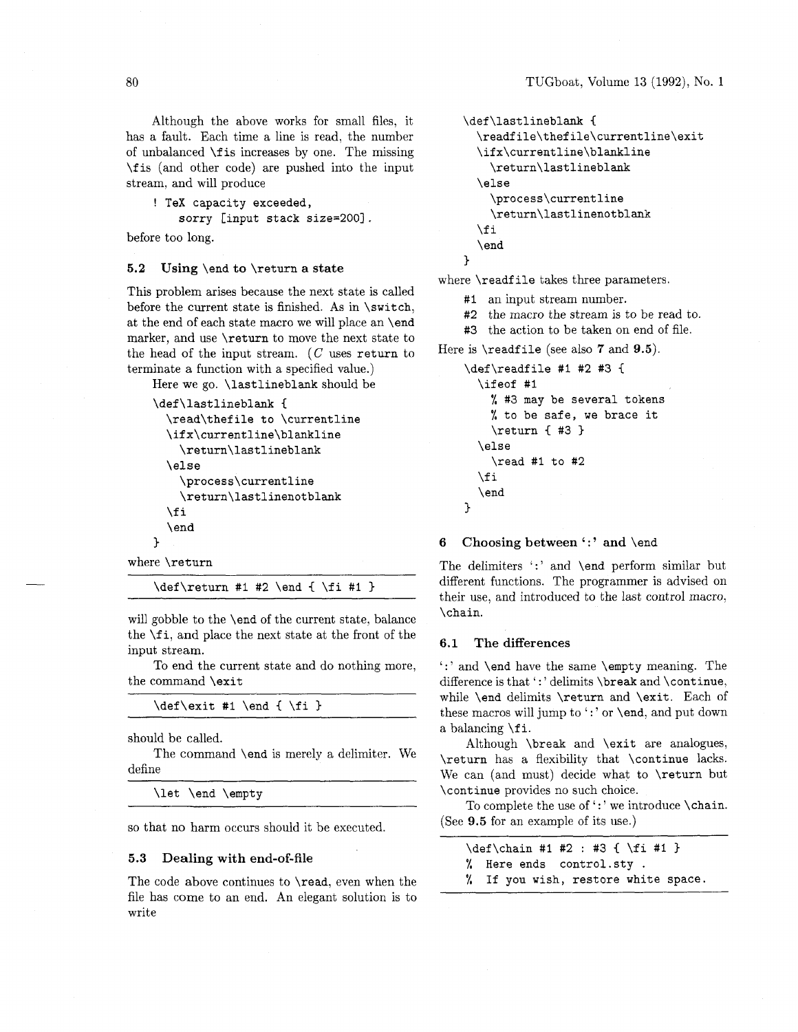Although the above works for small files, it has a fault. Each time a line is read, the number of unbalanced **\f** is increases by one. The missing **\f** is (and other code) are pushed into the input stream, and will produce

```
! TeX capacity exceeded,
```
**sorry [input stack size=2001** .

before too long.

#### **5.2 Using \end to \return a state**

This problem arises because the next state is called before the current state is finished. As in **\switch,**  at the end of each state macro we will place an **\end**  marker, and use **\return** to move the next state to the head of the input stream. (C uses **return** to terminate a function with a specified value.)

```
Here we go. \lastlineblank should be 
    \def\lastlineblank { 
      \read\thefile to \currentline 
      \ifx\currentline\blankline 
        \return\lastlineblank 
      \else 
         \process\currentline 
         \return\lastlinenotblank 
      \f i 
      \end 
    \mathbf{a}where \return
```
 $\def\$ { #2 \end { } +1  $*2 \end { }$ 

will gobble to the **\end** of the current state, balance the **\f i,** and place the next state at the front of the input stream.

To end the current state and do nothing more, the command **\exit** 

```
\def\exit #1 \end { \fi }
```
should be called.

The command **\end** is merely a delimiter. We define

\let \end \empty

so that no harm occurs should it be executed.

#### 5.3 **Dealing with end-of-file**

The code above continues to **\read,** even when the file has come to an end. An elegant solution is to write

```
\def\lastlineblank ( 
  \readfile\thefile\currentline\exit 
  \ifx\currentline\blankline 
    \return\lastlineblank 
  \else 
    \process\currentline 
    \return\lastlinenotblank 
  \chi i \chi\end 
\mathcal{L}
```
where **\readf ile** takes three parameters.

#I an input stream number.

- #2 the macro the stream is to be read to.
- #3 the action to be taken on end of file.

Here is **\readf ile** (see also **7** and 9.5).

```
\def\readfile #I #2 #3 
  \ifeof #I 
    % #3 may be several tokens 
    % to be safe, we brace it 
    \return { #3 }
  \else 
    \read #I to #2 
  \f i 
  \end 
3
```
## **6** Choosing between ':' and \end

The delimiters ':' and **\end** perform similar but different functions. The programmer is advised on their use, and introduced to the last control macro, **\chain.** 

#### **6.1 The differences**

':' and **\end** have the same **\empty** meaning. The difference is that ':' delimits **\break** and **\continue**, while **\end** delimits **\return** and **\exit.** Each of these macros will jump to ':' or **\end**, and put down a balancing **\f i.** 

Although **\break** and **\exit** are analogues, **\return** has a flexibility that **\continue** lacks. We can (and must) decide what to **\return** but **\continue** provides no such choice.

To complete the use of ':' we introduce **\chain.** (See 9.5 for an example of its use.)

| $\def\chain #1 #2 : #3 { \f_i #1 }$ |
|-------------------------------------|
| % Here ends control.sty.            |
| % If you wish, restore white space. |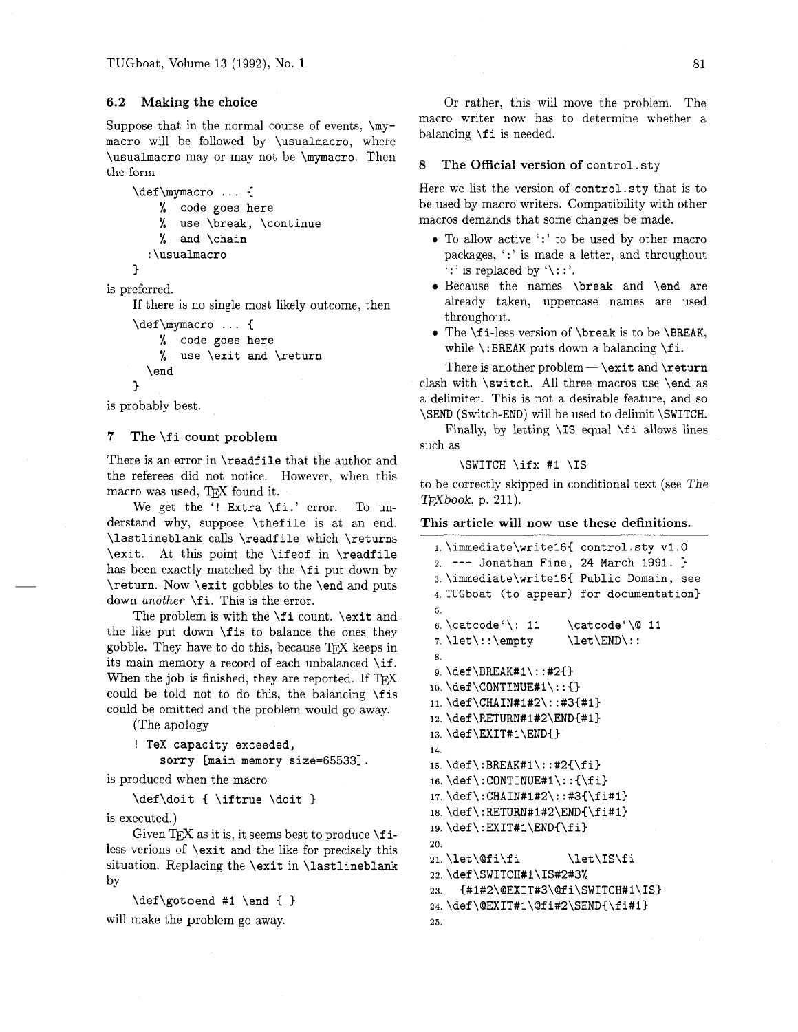## **6.2 Making the choice**

Suppose that in the normal course of events,  $\my$ macro will be followed by \usualmacro, where \usualmacro may or may not be \mymacro. Then the form

```
\def\mymacro ... {
    % code goes here 
    % use \break, \continue 
    % and \chain
  : \usualmacro 
1
```
is preferred.

If there is no single most likely outcome, then

```
\def\mymacro ... C
```

```
% code goes here
```

```
% use \exit and \return
```

```
\end
```
is probably best.

 $\mathbf{r}$ 

## **<sup>7</sup>The** \f **i count problem**

There is an error in \readfile that the author and the referees did not notice. However, when this macro was used, TEX found it.

We get the '! Extra \fi.' error. To understand why, suppose \thefile is at an end. \lastlineblank calls \readfile which \returns \exit. At this point the \ifeof in \readfile has been exactly matched by the \fi put down by \return. Now \exit gobbles to the \end and puts down *another* \f i. This is the error.

The problem is with the \fi count. \exit and the like put down \f is to balance the ones they gobble. They have to do this, because  $T_{\text{F}}X$  keeps in its main memory a record of each unbalanced \if. When the job is finished, they are reported. If TFX could be told not to do this, the balancing  $\frac{1}{s}$ could be omitted and the problem would go away.

(The apology

```
! TeX capacity exceeded, 
    sorry [main memory size=65533].
```
is produced when the macro

\def\doit { \iftrue \doit }

is executed.)

Given  $TrX$  as it is, it seems best to produce  $\iota$ less verions of \exit and the like for precisely this situation. Replacing the \exit in \lastlineblank by

\def\gotoend #I \end { }

will make the problem go away.

Or rather, this will move the problem. The macro writer now has to determine whether a balancing \f i is needed.

## 8 **The Official version of** control. sty

Here we list the version of control. sty that is to be used by macro writers. Compatibility with other macros demands that some changes be made.

- <sup>0</sup>To allow active ':' to be used by other macro packages, ": " is made a letter, and throughout  $'$ : is replaced by  $'\$ : : '.
- Because the names \break and \end are already taken, uppercase names are used throughout.
- The \fi-less version of \break is to be \BREAK, while  $\iota$ :BREAK puts down a balancing  $\iota$ .

There is another problem  $-\$  \exit and \return clash with \switch. All three macros use \end as a delimiter. This is not a desirable feature, and so \SEND (Switch-END) will be used to delimit \SWITCH.

Finally, by letting  $\IS$  equal  $\If$  allows lines such as

#### \SWITCH \ifx #I \IS

to be correctly skipped in conditional text (see The *Wbook,* p. 211).

#### **This article will now use these definitions.**

```
1,\immediate\writel6( control.sty v1.O 
2. --- Jonathan Fine, 24 March 1991. ) 
3. \immediate\writel6{ Public Domain, see 
4. TUGboat (to appear) for documentation) 
5. 
6. \catcode'\: 11 \catcode'\@ 11
7. \let\::\emptyset \let\END\::
8. 
9. \def \BREAK#l\ : : #2C) 
lo. \def \CONTINUE#l\ : : C) 
11. \def \CHAIN#1#2': #3{#1}12. \def\RETURN#1#2\END{#1}
13. \def \EXIT#1\END{}14. 
15. \def\:BREAK#1\::#2{\fi}
16.\def\:CONTINUE#I\::C\fi) 
17.\def\:CHAIN#1#2\::#3{\fi#l~ 
18.\def\:RETURN#1#2\END{\fi#l) 
19. \def \ : EXIT#l\END{\f i} 
20. 
21. \let\@fi\fi \let\IS\fi
22. \def \SWITCH#l\IS#2#3% 
23. {#1#2\@EXIT#3\@fi\SWITCH#1\IS}
24. \def\@EXIT#1\@fi#2\SEND{\fi#1}
25.
```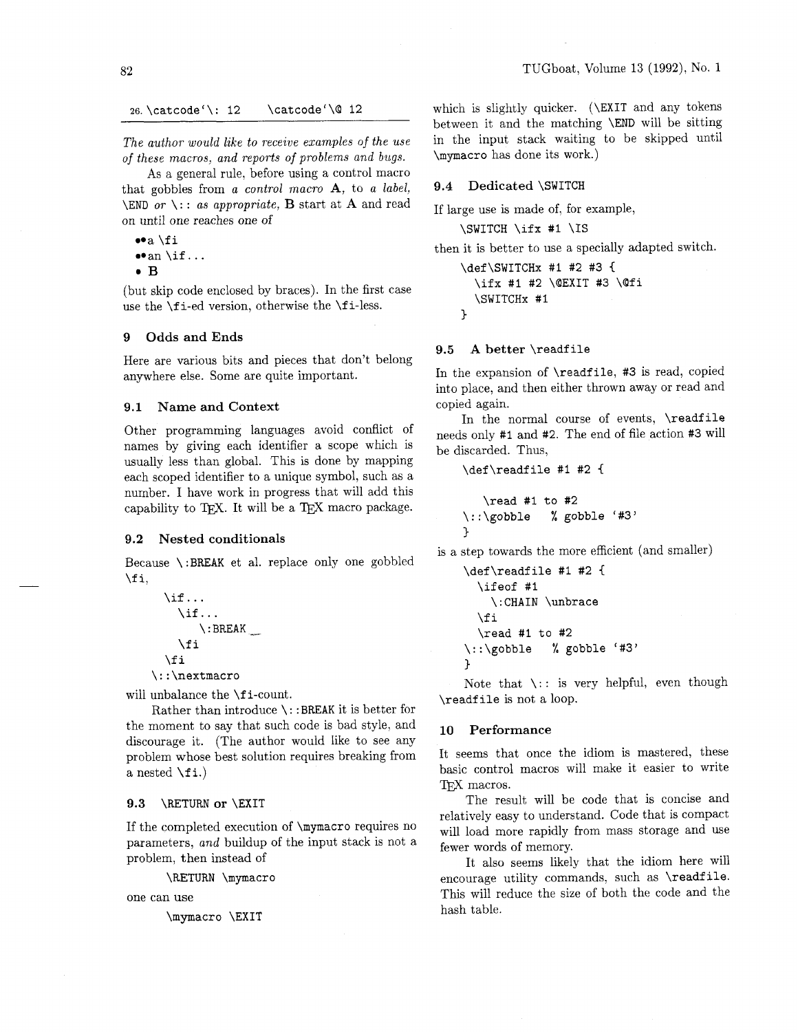\catcode'\@ 12 26. \catcode'\: 12

*The author would like to receive examples of the use of these macros, and reports of problems and bugs.* 

As a general rule, before using a control macro that gobbles from *a control macro* A, to *a label,*  \END *or* \: : *as appropriate, B* start at **A** and read on until one reaches one of

 $\bullet$ a \fi **a** \ii<br>• an \if...<br>**B** 

(but skip code enclosed by braces). In the first case use the  $\mathcal{I}$  i-ed version, otherwise the  $\mathcal{I}$  i-less.

## 9 Odds and Ends

Here are various bits and pieces that don't belong anywhere else. Some are quite important.

#### 9.1 Name and Context

Other programming languages avoid conflict of names by giving each identifier a scope which is usually less than global. This is done by mapping each scoped identifier to a unique symbol, such as a number. I have work in progress that will add this capability to TFX. It will be a TEX macro package.

#### 9.2 Nested conditionals

Because \:BREAK et al. replace only one gobbled \f i,

\if.. . \if ... \ : BREAK -\_ \f i \f i \ : : \nextmacro

will unbalance the **\fi-count**.

Rather than introduce \: :BREAK it is better for the moment to say that such code is bad style, and discourage it. (The author would like to see any problem whose best solution requires breaking from a nested  $\forall$ fi.)

#### 9.3 \RETURN or \EXIT

If the completed execution of \mymacro requires no parameters, *and* buildup of the input stack is not a problem, then instead of

\RETURN \mymacro

one can use

\mymacro \EXIT

which is slightly quicker. (\EXIT and any tokens between it and the matching \END will be sitting in the input stack waiting to be skipped until \mymacro has done its work.)

#### 9.4 Dedicated \SWITCH

If large use is made of, for example,

\SWITCH \ifx #I \IS

then it is better to use a specially adapted switch.

\def\SWITCHx #I #2 #3 **<sup>C</sup>** \ifx #I #2 \@EXIT **#3** \@fi \SWITCHx #I 3

#### 9.5 A better \readfile

In the expansion of \readfile, #3 is read, copied into place, and then either thrown away or read and copied again.

In the normal course of events, \readfile needs only #I and #2. The end of file action #3 will be discarded. Thus,

\def\readf ile #I #2 **1** 

```
\read #I to #2 
\::\gobble % gobble '#3' 
\mathcal{L}
```
is a step towards the more efficient (and smaller)

```
\def\readfile #I #2 1 
  \ifeof #I 
    \:CHAIN \unbrace 
  \chifi
  \read #I to #2 
\::\gobble % gobble '#3' 
1
```
Note that  $\setminus$ : is very helpful, even though \readf ile is not a loop.

#### 10 Performance

It seems that once the idiom is mastered, these basic control macros will make it easier to write TpX macros.

The result will be code that is concise and relatively easy to understand. Code that is compact will load more rapidly from mass storage and use fewer words of memory.

It also seems likely that the idiom here will encourage utility commands, such as **\readfile**. This will reduce the size of both the code and the hash table.